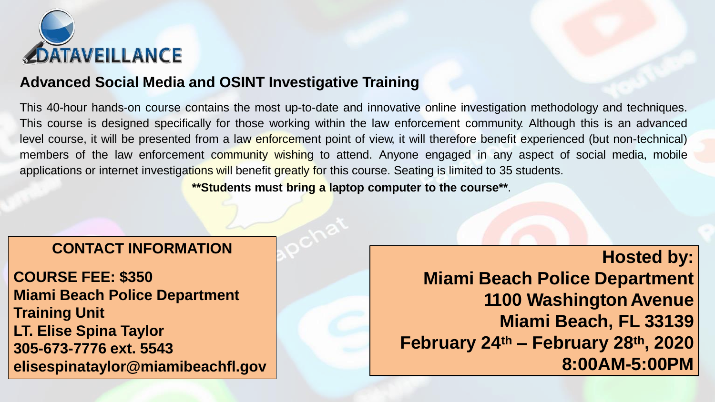

### **Advanced Social Media and OSINT Investigative Training**

This 40-hour hands-on course contains the most up-to-date and innovative online investigation methodology and techniques. This course is designed specifically for those working within the law enforcement community. Although this is an advanced level course, it will be presented from a law enforcement point of view, it will therefore benefit experienced (but non-technical) members of the law enforcement community wishing to attend. Anyone engaged in any aspect of social media, mobile applications or internet investigations will benefit greatly for this course. Seating is limited to 35 students.

**\*\*Students must bring a laptop computer to the course\*\***.

### **CONTACT INFORMATION**

**COURSE FEE: \$350 Miami Beach Police Department Training Unit LT. Elise Spina Taylor 305-673-7776 ext. 5543 elisespinataylor@miamibeachfl.gov**

**Hosted by: Miami Beach Police Department 1100 Washington Avenue Miami Beach, FL 33139 February 24th – February 28th , 2020 8:00AM-5:00PM**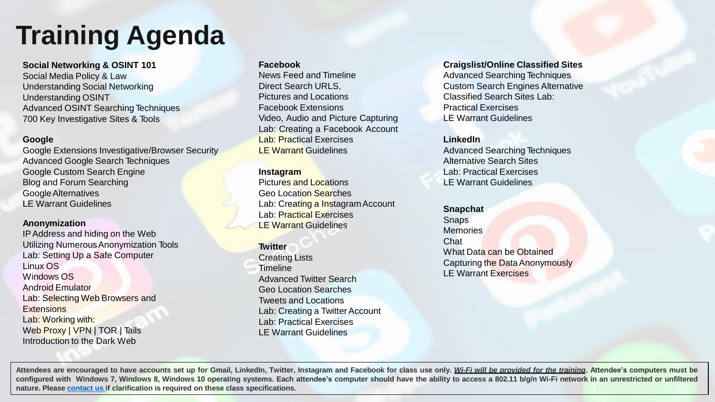## **Training Agenda**

**Social Networking & OSINT 101**  Social Media Policy & Law Understanding Social Networking Understanding OSINT Advanced OSINT Searching Techniques 700 Key Investigative Sites & Tools

#### **Google**

Google Extensions Investigative/Browser Security Advanced Google Search Techniques Google Custom Search Engine Blog and Forum Searching GoogleAlternatives LE Warrant Guidelines

#### **Anonymization**

IPAddress and hiding on the Web Utilizing NumerousAnonymization Tools Lab: Setting Up a Safe Computer Linux OS Windows OS Android Emulator Lab: Selecting Web Browsers and **Extensions** Lab: Working with: Web Proxy | VPN | TOR | Tails Introduction to the Dark Web

#### **Facebook**

News Feed and Timeline Direct Search URLS, Pictures and Locations Facebook Extensions Video, Audio and Picture Capturing Lab: Creating a Facebook Account Lab: Practical Exercises LE Warrant Guidelines

#### **Instagram**

Pictures and Locations Geo Location Searches Lab: Creating a Instagram Account Lab: Practical Exercises LE Warrant Guidelines

#### **Twitter**

Creating Lists **Timeline** Advanced Twitter Search Geo Location Searches Tweets and Locations Lab: Creating a Twitter Account Lab: Practical Exercises LE Warrant Guidelines

#### **Craigslist/Online Classified Sites**

Advanced Searching Techniques Custom Search Engines Alternative Classified Search Sites Lab: Practical Exercises LE Warrant Guidelines

#### **LinkedIn**

Advanced Searching Techniques Alternative Search Sites Lab: Practical Exercises LE Warrant Guidelines

**Snapchat**  Snaps **Memories** Chat What Data can be Obtained Capturing the DataAnonymously LE Warrant Exercises

Attendees are encouraged to have accounts set up for Gmail, Linkedln, Twitter, Instagram and Facebook for class use only. Wi-Fi will be provided for the training. Attendee's computers must be configured with Windows 7, Windows 8, Windows 10 operating systems. Each attendee's computer should have the ability to access a 802.11 b/g/n Wi-Fi network in an unrestricted or unfiltered **nature. Please [contact](mailto:training@dataveillance.us) us if clarification is required on these class specifications.**